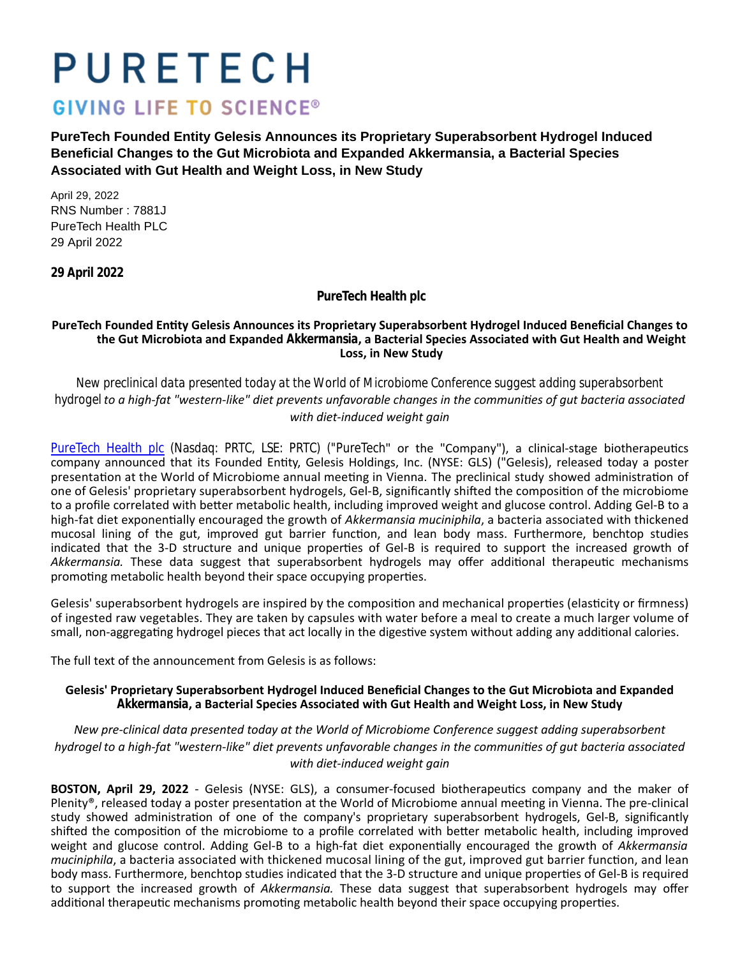# PURETECH

# **GIVING LIFE TO SCIENCE®**

**PureTech Founded Entity Gelesis Announces its Proprietary Superabsorbent Hydrogel Induced Beneficial Changes to the Gut Microbiota and Expanded Akkermansia, a Bacterial Species Associated with Gut Health and Weight Loss, in New Study**

April 29, 2022 RNS Number : 7881J PureTech Health PLC 29 April 2022

**29 April 2022**

**PureTech Health plc**

#### **PureTech Founded EnƟty Gelesis Announces its Proprietary Superabsorbent Hydrogel Induced Beneficial Changes to the Gut Microbiota and Expanded** *Akkermansia***, a Bacterial Species Associated with Gut Health and Weight Loss, in New Study**

*New preclinical data presented today at the World of Microbiome Conference suggest adding superabsorbent hydrogel to a high-fat "western-like" diet prevents unfavorable changes in the communities of gut bacteria associated with diet-induced weight gain*

[PureTech Health plc](https://puretechhealth.com/) (Nasdaq: PRTC, LSE: PRTC) ("PureTech" or the "Company"), a clinical-stage biotherapeutics company announced that its Founded Entity, Gelesis Holdings, Inc. (NYSE: GLS) ("Gelesis), released today a poster presentation at the World of Microbiome annual meeting in Vienna. The preclinical study showed administration of one of Gelesis' proprietary superabsorbent hydrogels, Gel-B, significantly shifted the composition of the microbiome to a profile correlated with better metabolic health, including improved weight and glucose control. Adding Gel-B to a high-fat diet exponentially encouraged the growth of *Akkermansia muciniphila*, a bacteria associated with thickened mucosal lining of the gut, improved gut barrier function, and lean body mass. Furthermore, benchtop studies indicated that the 3-D structure and unique properties of Gel-B is required to support the increased growth of Akkermansia. These data suggest that superabsorbent hydrogels may offer additional therapeutic mechanisms promoting metabolic health beyond their space occupying properties.

Gelesis' superabsorbent hydrogels are inspired by the composition and mechanical properties (elasticity or firmness) of ingested raw vegetables. They are taken by capsules with water before a meal to create a much larger volume of small, non-aggregating hydrogel pieces that act locally in the digestive system without adding any additional calories.

The full text of the announcement from Gelesis is as follows:

## **Gelesis' Proprietary Superabsorbent Hydrogel Induced Beneficial Changes to the Gut Microbiota and Expanded** *Akkermansia***, a Bacterial Species Associated with Gut Health and Weight Loss, in New Study**

*New pre-clinical data presented today at the World of Microbiome Conference suggest adding superabsorbent hydrogel to a high-fat "western-like" diet prevents unfavorable changes in the communities of gut bacteria associated with diet-induced weight gain*

**BOSTON, April 29, 2022** - Gelesis (NYSE: GLS), a consumer-focused biotherapeutics company and the maker of Plenity®, released today a poster presentation at the World of Microbiome annual meeting in Vienna. The pre-clinical study showed administration of one of the company's proprietary superabsorbent hydrogels, Gel-B, significantly shifted the composition of the microbiome to a profile correlated with better metabolic health, including improved weight and glucose control. Adding Gel-B to a high-fat diet exponentially encouraged the growth of *Akkermansia muciniphila*, a bacteria associated with thickened mucosal lining of the gut, improved gut barrier function, and lean body mass. Furthermore, benchtop studies indicated that the 3-D structure and unique properties of Gel-B is required to support the increased growth of *Akkermansia.* These data suggest that superabsorbent hydrogels may offer additional therapeutic mechanisms promoting metabolic health beyond their space occupying properties.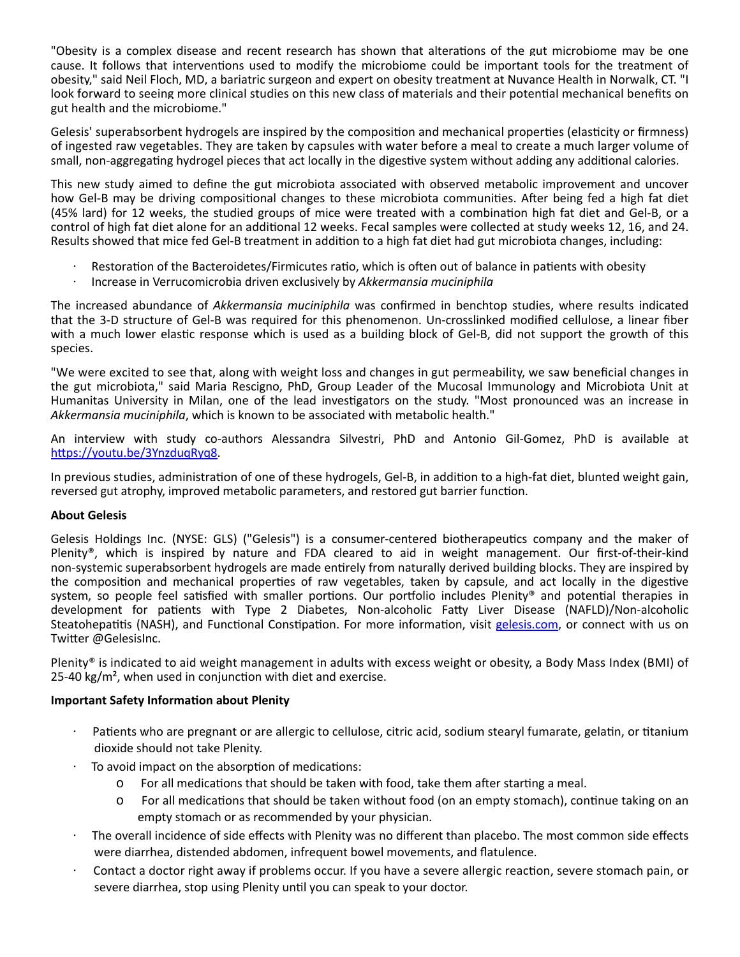"Obesity is a complex disease and recent research has shown that alterations of the gut microbiome may be one cause. It follows that interventions used to modify the microbiome could be important tools for the treatment of obesity," said Neil Floch, MD, a bariatric surgeon and expert on obesity treatment at Nuvance Health in Norwalk, CT. "I look forward to seeing more clinical studies on this new class of materials and their potential mechanical benefits on gut health and the microbiome."

Gelesis' superabsorbent hydrogels are inspired by the composition and mechanical properties (elasticity or firmness) of ingested raw vegetables. They are taken by capsules with water before a meal to create a much larger volume of small, non-aggregating hydrogel pieces that act locally in the digestive system without adding any additional calories.

This new study aimed to define the gut microbiota associated with observed metabolic improvement and uncover how Gel-B may be driving compositional changes to these microbiota communities. After being fed a high fat diet (45% lard) for 12 weeks, the studied groups of mice were treated with a combination high fat diet and Gel-B, or a control of high fat diet alone for an additional 12 weeks. Fecal samples were collected at study weeks 12, 16, and 24. Results showed that mice fed Gel-B treatment in addition to a high fat diet had gut microbiota changes, including:

- Restoration of the Bacteroidetes/Firmicutes ratio, which is often out of balance in patients with obesity
- · Increase in Verrucomicrobia driven exclusively by *Akkermansia muciniphila*

The increased abundance of *Akkermansia muciniphila* was confirmed in benchtop studies, where results indicated that the 3-D structure of Gel-B was required for this phenomenon. Un-crosslinked modified cellulose, a linear fiber with a much lower elastic response which is used as a building block of Gel-B, did not support the growth of this species.

"We were excited to see that, along with weight loss and changes in gut permeability, we saw beneficial changes in the gut microbiota," said Maria Rescigno, PhD, Group Leader of the Mucosal Immunology and Microbiota Unit at Humanitas University in Milan, one of the lead investigators on the study. "Most pronounced was an increase in *Akkermansia muciniphila*, which is known to be associated with metabolic health."

An interview with study co-authors Alessandra Silvestri, PhD and Antonio Gil-Gomez, PhD is available at https://youtu.be/3YnzduqRyq8.

In previous studies, administration of one of these hydrogels, Gel-B, in addition to a high-fat diet, blunted weight gain, reversed gut atrophy, improved metabolic parameters, and restored gut barrier function.

## **About Gelesis**

Gelesis Holdings Inc. (NYSE: GLS) ("Gelesis") is a consumer-centered biotherapeutics company and the maker of Plenity®, which is inspired by nature and FDA cleared to aid in weight management. Our first-of-their-kind non-systemic superabsorbent hydrogels are made entirely from naturally derived building blocks. They are inspired by the composition and mechanical properties of raw vegetables, taken by capsule, and act locally in the digestive system, so people feel satisfied with smaller portions. Our portfolio includes Plenity® and potential therapies in development for patients with Type 2 Diabetes, Non-alcoholic Fatty Liver Disease (NAFLD)/Non-alcoholic Steatohepatitis (NASH), and Functional Constipation. For more information, visit [gelesis.com,](https://www.gelesis.com/) or connect with us on Twitter @GelesisInc.

Plenity® is indicated to aid weight management in adults with excess weight or obesity, a Body Mass Index (BMI) of  $25-40$  kg/m<sup>2</sup>, when used in conjunction with diet and exercise.

## **Important Safety Information about Plenity**

- Patients who are pregnant or are allergic to cellulose, citric acid, sodium stearyl fumarate, gelatin, or titanium dioxide should not take Plenity.
- To avoid impact on the absorption of medications:
	- $\circ$  For all medications that should be taken with food, take them after starting a meal.
	- $\circ$  For all medications that should be taken without food (on an empty stomach), continue taking on an empty stomach or as recommended by your physician.
- The overall incidence of side effects with Plenity was no different than placebo. The most common side effects were diarrhea, distended abdomen, infrequent bowel movements, and flatulence.
- · Contact a doctor right away if problems occur. If you have a severe allergic reacƟon, severe stomach pain, or severe diarrhea, stop using Plenity until you can speak to your doctor.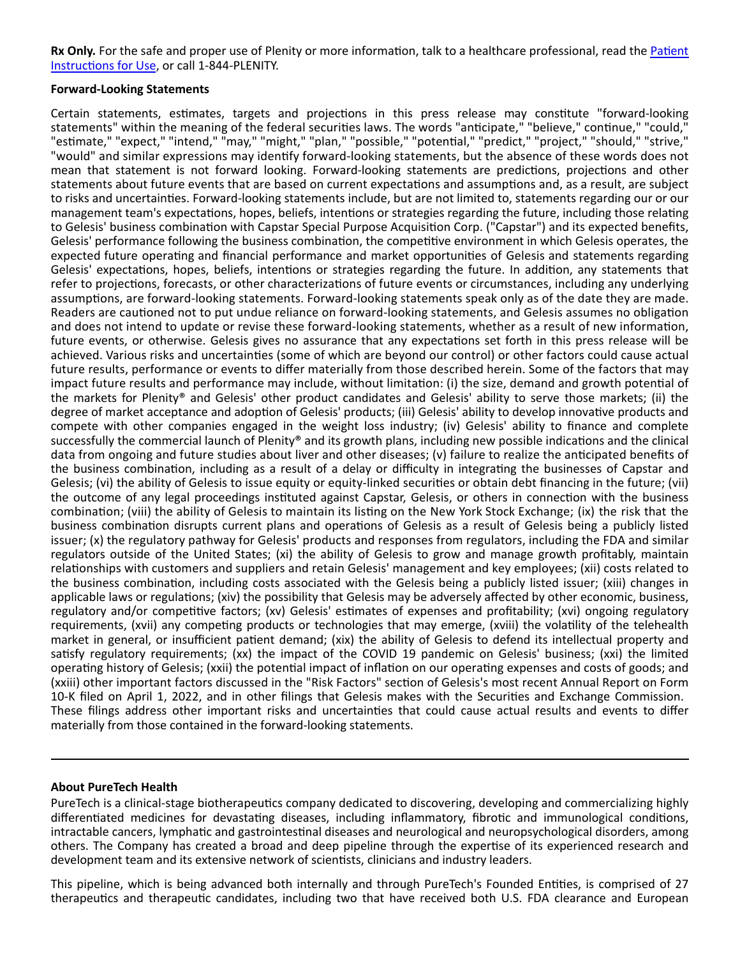**Rx Only.** For the safe and proper use of Plenity or more information, talk to a healthcare professional, read the Patient Instructions for Use, or call 1-844-PLENITY.

#### **Forward-Looking Statements**

Certain statements, estimates, targets and projections in this press release may constitute "forward-looking statements" within the meaning of the federal securities laws. The words "anticipate," "believe," continue," "could, "estimate," "expect," "intend," "may," "might," "plan," "possible," "potential," "predict," "project," "should," "strive," "would" and similar expressions may identify forward-looking statements, but the absence of these words does not mean that statement is not forward looking. Forward-looking statements are predictions, projections and other statements about future events that are based on current expectations and assumptions and, as a result, are subject to risks and uncertainties. Forward-looking statements include, but are not limited to, statements regarding our or our management team's expectations, hopes, beliefs, intentions or strategies regarding the future, including those relating to Gelesis' business combination with Capstar Special Purpose Acquisition Corp. ("Capstar") and its expected benefits, Gelesis' performance following the business combination, the competitive environment in which Gelesis operates, the expected future operating and financial performance and market opportunities of Gelesis and statements regarding Gelesis' expectations, hopes, beliefs, intentions or strategies regarding the future. In addition, any statements that refer to projections, forecasts, or other characterizations of future events or circumstances, including any underlying assumptions, are forward-looking statements. Forward-looking statements speak only as of the date they are made. Readers are cautioned not to put undue reliance on forward-looking statements, and Gelesis assumes no obligation and does not intend to update or revise these forward-looking statements, whether as a result of new information, future events, or otherwise. Gelesis gives no assurance that any expectations set forth in this press release will be achieved. Various risks and uncertainties (some of which are beyond our control) or other factors could cause actual future results, performance or events to differ materially from those described herein. Some of the factors that may impact future results and performance may include, without limitation: (i) the size, demand and growth potential of the markets for Plenity® and Gelesis' other product candidates and Gelesis' ability to serve those markets; (ii) the degree of market acceptance and adoption of Gelesis' products; (iii) Gelesis' ability to develop innovative products and compete with other companies engaged in the weight loss industry; (iv) Gelesis' ability to finance and complete successfully the commercial launch of Plenity® and its growth plans, including new possible indications and the clinical data from ongoing and future studies about liver and other diseases; (v) failure to realize the anticipated benefits of the business combination, including as a result of a delay or difficulty in integrating the businesses of Capstar and Gelesis; (vi) the ability of Gelesis to issue equity or equity-linked securities or obtain debt financing in the future; (vii) the outcome of any legal proceedings instituted against Capstar, Gelesis, or others in connection with the business combination; (viii) the ability of Gelesis to maintain its listing on the New York Stock Exchange; (ix) the risk that the business combination disrupts current plans and operations of Gelesis as a result of Gelesis being a publicly listed issuer; (x) the regulatory pathway for Gelesis' products and responses from regulators, including the FDA and similar regulators outside of the United States; (xi) the ability of Gelesis to grow and manage growth profitably, maintain relationships with customers and suppliers and retain Gelesis' management and key employees; (xii) costs related to the business combination, including costs associated with the Gelesis being a publicly listed issuer; (xiii) changes in applicable laws or regulations; (xiv) the possibility that Gelesis may be adversely affected by other economic, business, regulatory and/or competitive factors; (xv) Gelesis' estimates of expenses and profitability; (xvi) ongoing regulatory requirements, (xvii) any competing products or technologies that may emerge, (xviii) the volatility of the telehealth market in general, or insufficient patient demand; (xix) the ability of Gelesis to defend its intellectual property and satisfy regulatory requirements; (xx) the impact of the COVID 19 pandemic on Gelesis' business; (xxi) the limited operating history of Gelesis; (xxii) the potential impact of inflation on our operating expenses and costs of goods; and (xxiii) other important factors discussed in the "Risk Factors" section of Gelesis's most recent Annual Report on Form 10-K filed on April 1, 2022, and in other filings that Gelesis makes with the Securities and Exchange Commission. These filings address other important risks and uncertainties that could cause actual results and events to differ materially from those contained in the forward-looking statements.

## **About PureTech Health**

PureTech is a clinical-stage biotherapeutics company dedicated to discovering, developing and commercializing highly differentiated medicines for devastating diseases, including inflammatory, fibrotic and immunological conditions, intractable cancers, lymphatic and gastrointestinal diseases and neurological and neuropsychological disorders, among others. The Company has created a broad and deep pipeline through the expertise of its experienced research and development team and its extensive network of scientists, clinicians and industry leaders.

This pipeline, which is being advanced both internally and through PureTech's Founded Entities, is comprised of 27 therapeutics and therapeutic candidates, including two that have received both U.S. FDA clearance and European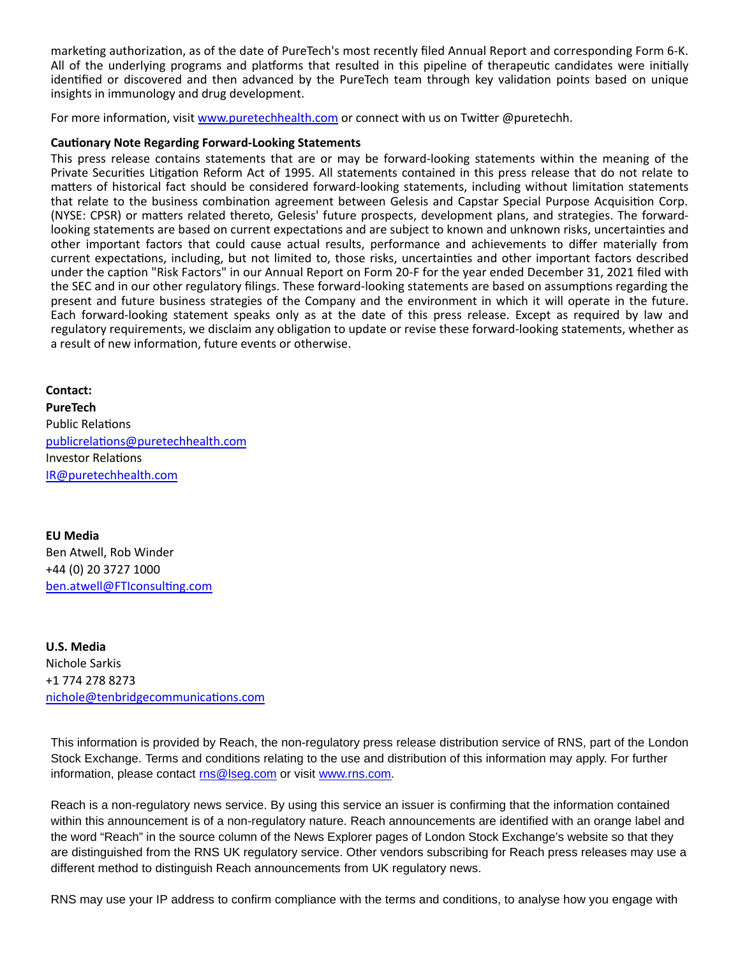marketing authorization, as of the date of PureTech's most recently filed Annual Report and corresponding Form 6-K. All of the underlying programs and platforms that resulted in this pipeline of therapeutic candidates were initially identified or discovered and then advanced by the PureTech team through key validation points based on unique insights in immunology and drug development.

For more information, visit [www.puretechhealth.com o](http://www.puretechhealth.com/)r connect with us on Twitter @puretechh.

#### **CauƟonary Note Regarding Forward-Looking Statements**

This press release contains statements that are or may be forward-looking statements within the meaning of the Private Securities Litigation Reform Act of 1995. All statements contained in this press release that do not relate to matters of historical fact should be considered forward-looking statements, including without limitation statements that relate to the business combination agreement between Gelesis and Capstar Special Purpose Acquisition Corp. (NYSE: CPSR) or matters related thereto, Gelesis' future prospects, development plans, and strategies. The forwardlooking statements are based on current expectations and are subject to known and unknown risks, uncertainties and other important factors that could cause actual results, performance and achievements to differ materially from current expectations, including, but not limited to, those risks, uncertainties and other important factors described under the caption "Risk Factors" in our Annual Report on Form 20-F for the year ended December 31, 2021 filed with the SEC and in our other regulatory filings. These forward-looking statements are based on assumptions regarding the present and future business strategies of the Company and the environment in which it will operate in the future. Each forward-looking statement speaks only as at the date of this press release. Except as required by law and regulatory requirements, we disclaim any obligation to update or revise these forward-looking statements, whether as a result of new information, future events or otherwise.

**Contact: PureTech** Public Relations publicrelations@puretechhealth.com **Investor Relations** [IR@puretechhealth.com](mailto:IR@puretechhealth.com)

**EU Media** Ben Atwell, Rob Winder +44 (0) 20 3727 1000 ben.atwell@FTIconsulting.com

**U.S. Media** Nichole Sarkis +1 774 278 8273 nichole@tenbridgecommunications.com

This information is provided by Reach, the non-regulatory press release distribution service of RNS, part of the London Stock Exchange. Terms and conditions relating to the use and distribution of this information may apply. For further information, please contact [rns@lseg.com o](mailto:rns@lseg.com)r visit [www.rns.com.](http://www.rns.com/)

Reach is a non-regulatory news service. By using this service an issuer is confirming that the information contained within this announcement is of a non-regulatory nature. Reach announcements are identified with an orange label and the word "Reach" in the source column of the News Explorer pages of London Stock Exchange's website so that they are distinguished from the RNS UK regulatory service. Other vendors subscribing for Reach press releases may use a different method to distinguish Reach announcements from UK regulatory news.

RNS may use your IP address to confirm compliance with the terms and conditions, to analyse how you engage with